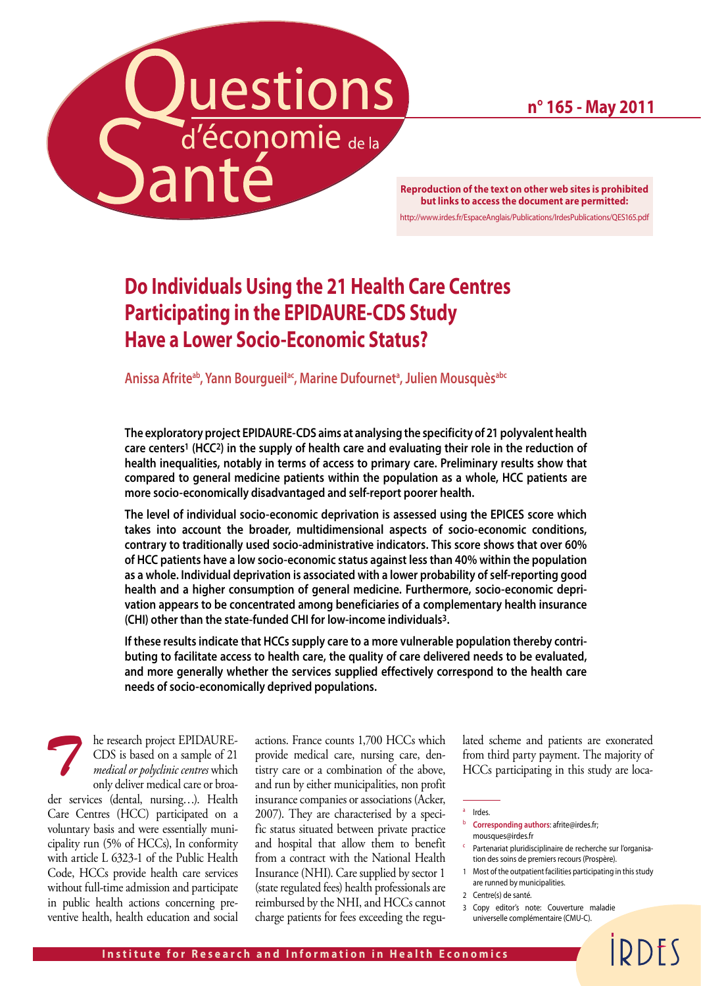**n° 165 - May 2011**

**Reproduction of the text on other web sites is prohibited and the content of the text on other web sites is prohibited and**  $\blacksquare$ **but links to access the document are permitted:** http://www.irdes.fr/EspaceAnglais/Publications/IrdesPublications/QES165.pdf

# **Do Individuals Using the 21 Health Care Centres Participating in the EPIDAURE-CDS Study Have a Lower Socio-Economic Status?**

**Anissa Afriteab, Yann Bourgueilac, Marine Dufourneta , Julien Mousquèsabc**

**The exploratory project EPIDAURE-CDS aims at analysing the specificity of 21 polyvalent health care centers1 (HCC2) in the supply of health care and evaluating their role in the reduction of health inequalities, notably in terms of access to primary care. Preliminary results show that compared to general medicine patients within the population as a whole, HCC patients are more socio-economically disadvantaged and self-report poorer health.**

**The level of individual socio-economic deprivation is assessed using the EPICES score which takes into account the broader, multidimensional aspects of socio-economic conditions, contrary to traditionally used socio-administrative indicators. This score shows that over 60% of HCC patients have a low socio-economic status against less than 40% within the population as a whole. Individual deprivation is associated with a lower probability of self-reporting good health and a higher consumption of general medicine. Furthermore, socio-economic deprivation appears to be concentrated among beneficiaries of a complementary health insurance (CHI) other than the state-funded CHI for low-income individuals3.** 

**If these results indicate that HCCs supply care to a more vulnerable population thereby contributing to facilitate access to health care, the quality of care delivered needs to be evaluated, and more generally whether the services supplied effectively correspond to the health care needs of socio-economically deprived populations.**

he research project EPIDAURE-CDS is based on a sample of 21 *medical or polyclinic centres* which only deliver medical care or broader services (dental, nursing…). Health Care Centres (HCC) participated on a voluntary basis and were essentially municipality run (5% of HCCs), In conformity with article L 6323-1 of the Public Health Code, HCCs provide health care services without full-time admission and participate in public health actions concerning preventive health, health education and social *T*

actions. France counts 1,700 HCCs which provide medical care, nursing care, dentistry care or a combination of the above, and run by either municipalities, non profit insurance companies or associations (Acker, 2007). They are characterised by a specific status situated between private practice and hospital that allow them to benefit from a contract with the National Health Insurance (NHI). Care supplied by sector 1 (state regulated fees) health professionals are reimbursed by the NHI, and HCCs cannot charge patients for fees exceeding the regulated scheme and patients are exonerated from third party payment. The majority of HCCs participating in this study are loca-

- <sup>b</sup> **Corresponding authors**: afrite@irdes.fr; mousques@irdes.fr
- Partenariat pluridisciplinaire de recherche sur l'organisation des soins de premiers recours (Prospère).
- 1 Most of the outpatient facilities participating in this study are runned by municipalities.

**IDDFS** 

- 2 Centre(s) de santé.
- 3 Copy editor's note: Couverture maladie universelle complémentaire (CMU-C).

<sup>a</sup> Irdes.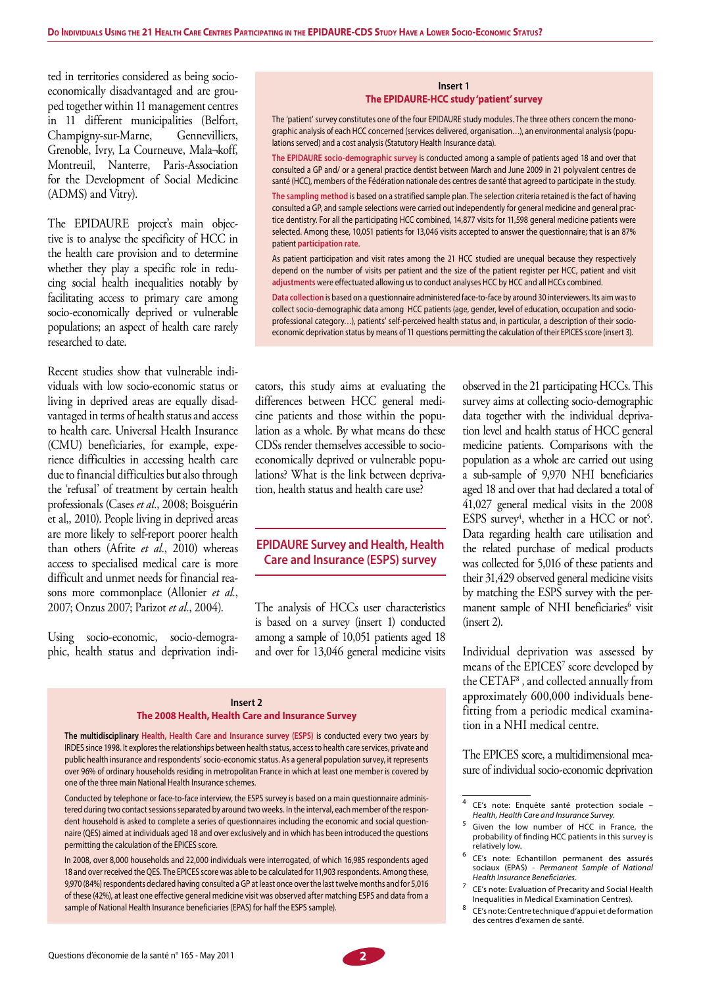ted in territories considered as being socioeconomically disadvantaged and are grouped together within 11 management centres in 11 different municipalities (Belfort, Champigny-sur-Marne, Gennevilliers, Grenoble, Ivry, La Courneuve, Mala¬koff, Montreuil, Nanterre, Paris-Association for the Development of Social Medicine (ADMS) and Vitry).

The EPIDAURE project's main objective is to analyse the specificity of HCC in the health care provision and to determine whether they play a specific role in reducing social health inequalities notably by facilitating access to primary care among socio-economically deprived or vulnerable populations; an aspect of health care rarely researched to date.

Recent studies show that vulnerable individuals with low socio-economic status or living in deprived areas are equally disadvantaged in terms of health status and access to health care. Universal Health Insurance (CMU) beneficiaries, for example, experience difficulties in accessing health care due to financial difficulties but also through the 'refusal' of treatment by certain health professionals (Cases *et al.*, 2008; Boisguérin et al,, 2010). People living in deprived areas are more likely to self-report poorer health than others (Afrite *et al.*, 2010) whereas access to specialised medical care is more difficult and unmet needs for financial reasons more commonplace (Allonier *et al.*, 2007; Onzus 2007; Parizot *et al.*, 2004).

Using socio-economic, socio-demographic, health status and deprivation indi-

#### **Insert 1 The EPIDAURE-HCC study 'patient' survey**

The 'patient' survey constitutes one of the four EPIDAURE study modules. The three others concern the monographic analysis of each HCC concerned (services delivered, organisation…), an environmental analysis (populations served) and a cost analysis (Statutory Health Insurance data).

**The EPIDAURE socio-demographic survey** is conducted among a sample of patients aged 18 and over that consulted a GP and/ or a general practice dentist between March and June 2009 in 21 polyvalent centres de santé (HCC), members of the Fédération nationale des centres de santé that agreed to participate in the study.

**The sampling method** is based on a stratified sample plan. The selection criteria retained is the fact of having consulted a GP, and sample selections were carried out independently for general medicine and general practice dentistry. For all the participating HCC combined, 14,877 visits for 11,598 general medicine patients were selected. Among these, 10,051 patients for 13,046 visits accepted to answer the questionnaire; that is an 87% patient **participation rate**.

As patient participation and visit rates among the 21 HCC studied are unequal because they respectively depend on the number of visits per patient and the size of the patient register per HCC, patient and visit **adjustments** were effectuated allowing us to conduct analyses HCC by HCC and all HCCs combined.

**Data collection** is based on a questionnaire administered face-to-face by around 30 interviewers. Its aim wasto collect socio-demographic data among HCC patients (age, gender, level of education, occupation and socioprofessional category…), patients' self-perceived health status and, in particular, a description of their socioeconomic deprivation status by means of 11 questions permitting the calculation of their EPICES score (insert 3).

cators, this study aims at evaluating the differences between HCC general medicine patients and those within the population as a whole. By what means do these CDSs render themselves accessible to socioeconomically deprived or vulnerable populations? What is the link between deprivation, health status and health care use?

#### **EPIDAURE Survey and Health, Health Care and Insurance (ESPS) survey**

The analysis of HCCs user characteristics is based on a survey (insert 1) conducted among a sample of 10,051 patients aged 18 and over for 13,046 general medicine visits

**Insert 2 The 2008 Health, Health Care and Insurance Survey**

**The multidisciplinary Health, Health Care and Insurance survey (ESPS)** is conducted every two years by IRDES since 1998. It explores the relationships between health status, access to health care services, private and public health insurance and respondents' socio-economic status. As a general population survey, it represents over 96% of ordinary households residing in metropolitan France in which at least one member is covered by one of the three main National Health Insurance schemes.

Conducted by telephone or face-to-face interview, the ESPS survey is based on a main questionnaire administered during two contact sessions separated by around two weeks. In the interval, each member of the respondent household is asked to complete a series of questionnaires including the economic and social questionnaire (QES) aimed at individuals aged 18 and over exclusively and in which has been introduced the questions permitting the calculation of the EPICES score.

In 2008, over 8,000 households and 22,000 individuals were interrogated, of which 16,985 respondents aged 18 and over received the QES. The EPICES score was able to be calculated for 11,903 respondents. Among these, 9,970 (84%) respondents declared having consulted a GP at least once over the last twelve months and for 5,016 of these (42%), at least one effective general medicine visit was observed after matching ESPS and data from a sample of National Health Insurance beneficiaries (EPAS) for half the ESPS sample).

observed in the 21 participating HCCs. This survey aims at collecting socio-demographic data together with the individual deprivation level and health status of HCC general medicine patients. Comparisons with the population as a whole are carried out using a sub-sample of 9,970 NHI beneficiaries aged 18 and over that had declared a total of 41,027 general medical visits in the 2008 ESPS survey<sup>4</sup>, whether in a HCC or not<sup>5</sup>. Data regarding health care utilisation and the related purchase of medical products was collected for 5,016 of these patients and their 31,429 observed general medicine visits by matching the ESPS survey with the permanent sample of NHI beneficiaries<sup>6</sup> visit (insert 2).

Individual deprivation was assessed by means of the EPICES7 score developed by the CETAF8 , and collected annually from approximately 600,000 individuals benefitting from a periodic medical examination in a NHI medical centre.

The EPICES score, a multidimensional measure of individual socio-economic deprivation

- <sup>6</sup> CE's note: Echantillon permanent des assurés sociaux (EPAS) - *Permanent Sample of National Health Insurance Beneficiaries*.
- <sup>7</sup> CE's note: Evaluation of Precarity and Social Health Inequalities in Medical Examination Centres).
- <sup>8</sup> CE's note: Centre technique d'appui et de formation des centres d'examen de santé.



<sup>4</sup> CE's note: Enquête santé protection sociale – *Health, Health Care and Insurance Survey*.

<sup>&</sup>lt;sup>5</sup> Given the low number of HCC in France, the probability of finding HCC patients in this survey is relatively low.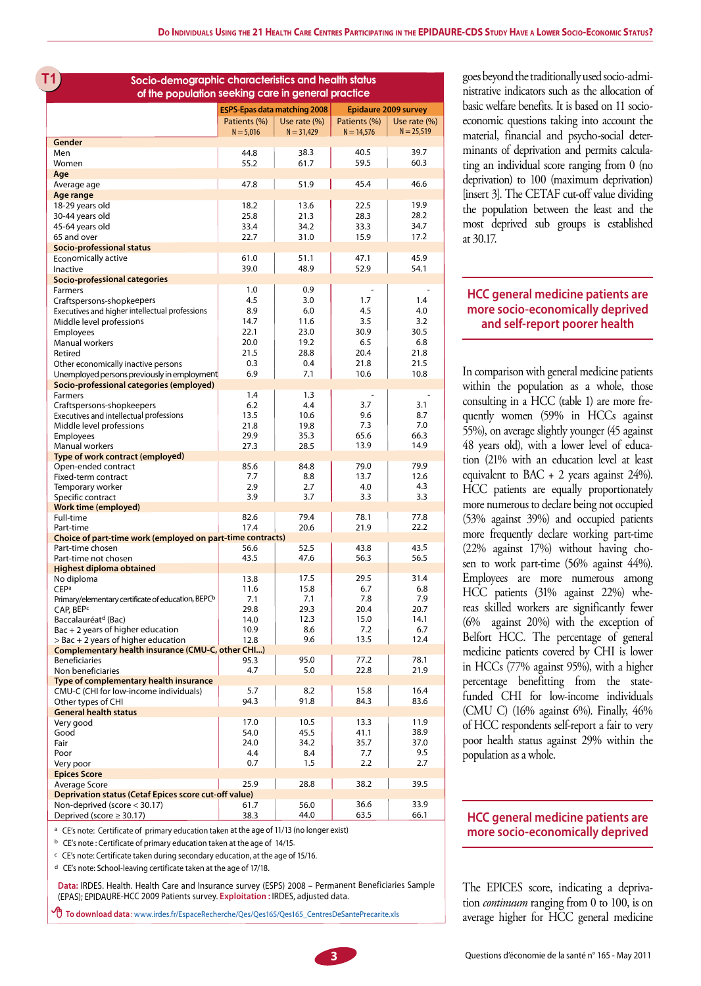**T1** Socio-demographic characteristics and health status goes beyond the traditionally used socio-admi**of the population seeking care in general practice**

|                                                                            |              | <b>ESPS-Epas data matching 2008</b> | <b>Epidaure 2009 survey</b> |              |  |  |
|----------------------------------------------------------------------------|--------------|-------------------------------------|-----------------------------|--------------|--|--|
|                                                                            | Patients (%) | Use rate $(\%)$                     | Patients (%)                | Use rate (%) |  |  |
|                                                                            | $N = 5.016$  | $N = 31,429$                        | $N = 14,576$                | $N = 25,519$ |  |  |
| Gender                                                                     |              |                                     |                             |              |  |  |
| Men                                                                        | 44.8         | 38.3                                | 40.5                        | 39.7         |  |  |
| Women                                                                      | 55.2         | 61.7                                | 59.5                        | 60.3         |  |  |
| Aae                                                                        |              |                                     |                             |              |  |  |
| Average age                                                                | 47.8         | 51.9                                | 45.4                        | 46.6         |  |  |
| Age range<br>18-29 years old                                               | 18.2         | 13.6                                | 22.5                        | 19.9         |  |  |
| 30-44 years old                                                            | 25.8         | 21.3                                | 28.3                        | 28.2         |  |  |
| 45-64 years old                                                            | 33.4         | 34.2                                | 33.3                        | 34.7         |  |  |
| 65 and over                                                                | 22.7         | 31.0                                | 15.9                        | 17.2         |  |  |
| <b>Socio-professional status</b>                                           |              |                                     |                             |              |  |  |
| Economically active                                                        | 61.0         | 51.1                                | 47.1                        | 45.9         |  |  |
| Inactive                                                                   | 39.0         | 48.9                                | 52.9                        | 54.1         |  |  |
| Socio-professional categories                                              |              |                                     |                             |              |  |  |
| Farmers                                                                    | 1.0          | 0.9                                 |                             |              |  |  |
| Craftspersons-shopkeepers                                                  | 4.5          | 3.0                                 | 1.7                         | 1.4          |  |  |
| Executives and higher intellectual professions<br>Middle level professions | 8.9<br>14.7  | 6.0<br>11.6                         | 4.5<br>3.5                  | 4.0<br>3.2   |  |  |
| Employees                                                                  | 22.1         | 23.0                                | 30.9                        | 30.5         |  |  |
| Manual workers                                                             | 20.0         | 19.2                                | 6.5                         | 6.8          |  |  |
| Retired                                                                    | 21.5         | 28.8                                | 20.4                        | 21.8         |  |  |
| Other economically inactive persons                                        | 0.3          | 0.4                                 | 21.8                        | 21.5         |  |  |
| Unemployed persons previously in employment                                | 6.9          | 7.1                                 | 10.6                        | 10.8         |  |  |
| Socio-professional categories (employed)                                   |              |                                     |                             |              |  |  |
| <b>Farmers</b>                                                             | 1.4          | 1.3                                 |                             |              |  |  |
| Craftspersons-shopkeepers                                                  | 6.2          | 4.4                                 | 3.7                         | 3.1          |  |  |
| Executives and intellectual professions                                    | 13.5         | 10.6                                | 9.6                         | 8.7          |  |  |
| Middle level professions                                                   | 21.8<br>29.9 | 19.8<br>35.3                        | 7.3<br>65.6                 | 7.0<br>66.3  |  |  |
| <b>Employees</b><br>Manual workers                                         | 27.3         | 28.5                                | 13.9                        | 14.9         |  |  |
| Type of work contract (employed)                                           |              |                                     |                             |              |  |  |
| Open-ended contract                                                        | 85.6         | 84.8                                | 79.0                        | 79.9         |  |  |
| Fixed-term contract                                                        | 7.7          | 8.8                                 | 13.7                        | 12.6         |  |  |
| Temporary worker                                                           | 2.9          | 2.7                                 | 4.0                         | 4.3          |  |  |
| Specific contract                                                          | 3.9          | 3.7                                 | 3.3                         | 3.3          |  |  |
| <b>Work time (employed)</b>                                                |              |                                     |                             |              |  |  |
| Full-time<br>Part-time                                                     | 82.6<br>17.4 | 79.4<br>20.6                        | 78.1<br>21.9                | 77.8<br>22.2 |  |  |
| Choice of part-time work (employed on part-time contracts)                 |              |                                     |                             |              |  |  |
| Part-time chosen                                                           | 56.6         | 52.5                                | 43.8                        | 43.5         |  |  |
| Part-time not chosen                                                       | 43.5         | 47.6                                | 56.3                        | 56.5         |  |  |
| <b>Highest diploma obtained</b>                                            |              |                                     |                             |              |  |  |
| No diploma                                                                 | 13.8         | 17.5                                | 29.5                        | 31.4         |  |  |
| <b>CEPa</b>                                                                | 11.6         | 15.8                                | 6.7                         | 6.8          |  |  |
| Primary/elementary certificate of education, BEPC <sup>b</sup>             | 7.1<br>29.8  | 7.1<br>29.3                         | 7.8<br>20.4                 | 7.9<br>20.7  |  |  |
| CAP, BEP <sup>c</sup><br>Baccalauréat <sup>d</sup> (Bac)                   | 14.0         | 12.3                                | 15.0                        | 14.1         |  |  |
| Bac + 2 years of higher education                                          | 10.9         | 8.6                                 | 7.2                         | 6.7          |  |  |
| > Bac + 2 years of higher education                                        | 12.8         | 9.6                                 | 13.5                        | 12.4         |  |  |
| Complementary health insurance (CMU-C, other CHI)                          |              |                                     |                             |              |  |  |
| <b>Beneficiaries</b>                                                       | 95.3         | 95.0                                | 77.2                        | 78.1         |  |  |
| Non beneficiaries                                                          | 4.7          | 5.0                                 | 22.8                        | 21.9         |  |  |
| Type of complementary health insurance                                     |              |                                     |                             |              |  |  |
| CMU-C (CHI for low-income individuals)                                     | 5.7          | 8.2                                 | 15.8                        | 16.4         |  |  |
| Other types of CHI                                                         | 94.3         | 91.8                                | 84.3                        | 83.6         |  |  |
| <b>General health status</b><br>Very good                                  | 17.0         | 10.5                                | 13.3                        | 11.9         |  |  |
| Good                                                                       | 54.0         | 45.5                                | 41.1                        | 38.9         |  |  |
| Fair                                                                       | 24.0         | 34.2                                | 35.7                        | 37.0         |  |  |
| Poor                                                                       | 4.4          | 8.4                                 | 7.7                         | 9.5          |  |  |
| Very poor                                                                  | 0.7          | 1.5                                 | 2.2                         | 2.7          |  |  |
| <b>Epices Score</b>                                                        |              |                                     |                             |              |  |  |
| Average Score                                                              | 25.9         | 28.8                                | 38.2                        | 39.5         |  |  |
| <b>Deprivation status (Cetaf Epices score cut-off value)</b>               |              |                                     |                             |              |  |  |
| Non-deprived (score < 30.17)                                               | 61.7         | 56.0                                | 36.6                        | 33.9         |  |  |
| Deprived (score $\geq$ 30.17)                                              | 38.3         | 44.0                                | 63.5                        | 66.1         |  |  |

a CE's note: Certificate of primary education taken at the age of 11/13 (no longer exist)

b CE's note : Certificate of primary education taken at the age of 14/15.

 $c$  CE's note: Certificate taken during secondary education, at the age of 15/16.

d CE's note: School-leaving certificate taken at the age of 17/18.

**Data:** IRDES. Health. Health Care and Insurance survey (ESPS) <sup>2008</sup> – Permanent Beneficiaries Sample (EPAS); EPIDAURE-HCC 2009 Patients survey. **Exploitation :** IRDES, adjusted data.

 **To download data** : www.irdes.fr/EspaceRecherche/Qes/Qes165/Qes165\_CentresDeSantePrecarite.xls

nistrative indicators such as the allocation of basic welfare benefits. It is based on 11 socioeconomic questions taking into account the material, financial and psycho-social determinants of deprivation and permits calculating an individual score ranging from 0 (no deprivation) to 100 (maximum deprivation) [insert 3]. The CETAF cut-off value dividing the population between the least and the most deprived sub groups is established at 30.17.

#### **HCC general medicine patients are more socio-economically deprived and self-report poorer health**

In comparison with general medicine patients within the population as a whole, those consulting in a HCC (table 1) are more frequently women (59% in HCCs against 55%), on average slightly younger (45 against 48 years old), with a lower level of education (21% with an education level at least equivalent to BAC  $+$  2 years against 24%). HCC patients are equally proportionately more numerous to declare being not occupied (53% against 39%) and occupied patients more frequently declare working part-time (22% against 17%) without having chosen to work part-time (56% against 44%). Employees are more numerous among HCC patients (31% against 22%) whereas skilled workers are significantly fewer (6% against 20%) with the exception of Belfort HCC. The percentage of general medicine patients covered by CHI is lower in HCCs (77% against 95%), with a higher percentage benefitting from the statefunded CHI for low-income individuals (CMU C) (16% against 6%). Finally, 46% of HCC respondents self-report a fair to very poor health status against 29% within the population as a whole.

#### **HCC general medicine patients are more socio-economically deprived**

The EPICES score, indicating a deprivation *continuum* ranging from 0 to 100, is on average higher for HCC general medicine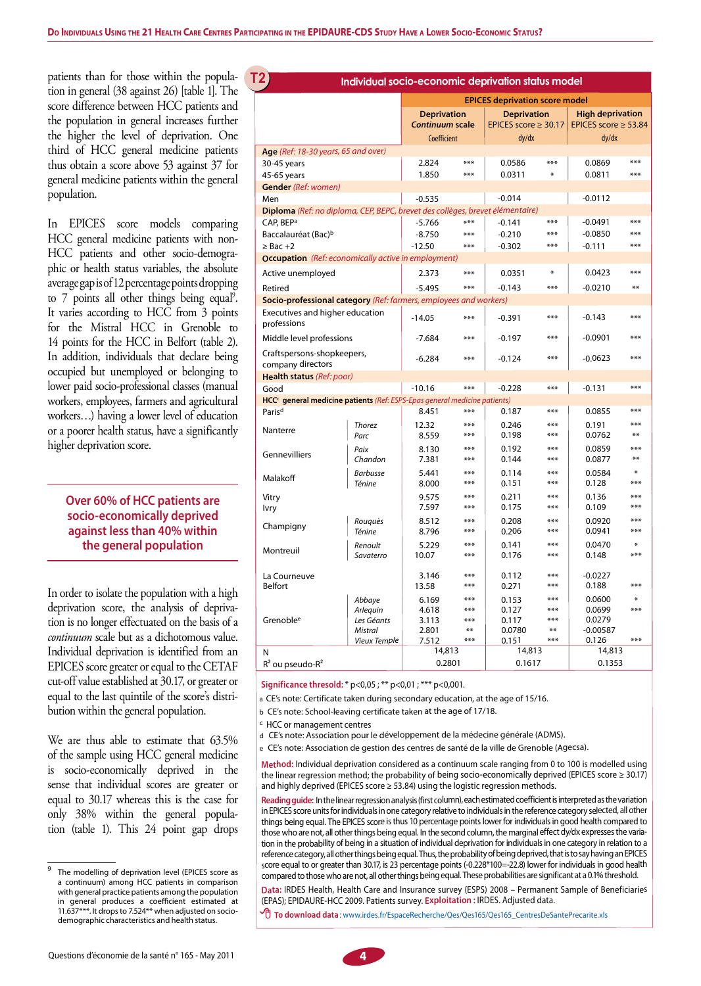patients than for those within the population in general (38 against 26) [table 1]. The score difference between HCC patients and the population in general increases further the higher the level of deprivation. One third of HCC general medicine patients thus obtain a score above 53 against 37 for general medicine patients within the general population.

In EPICES score models comparing HCC general medicine patients with non-HCC patients and other socio-demographic or health status variables, the absolute average gap is of 12 percentage points dropping to 7 points all other things being equal<sup>9</sup>. It varies according to HCC from 3 points for the Mistral HCC in Grenoble to 14 points for the HCC in Belfort (table 2). In addition, individuals that declare being occupied but unemployed or belonging to lower paid socio-professional classes (manual workers, employees, farmers and agricultural workers…) having a lower level of education or a poorer health status, have a significantly higher deprivation score.

## **Over 60% of HCC patients are socio-economically deprived against less than 40% within the general population**

In order to isolate the population with a high deprivation score, the analysis of deprivation is no longer effectuated on the basis of a *continuum* scale but as a dichotomous value. Individual deprivation is identified from an EPICES score greater or equal to the CETAF cut-off value established at 30.17, or greater or equal to the last quintile of the score's distribution within the general population.

We are thus able to estimate that 63.5% of the sample using HCC general medicine is socio-economically deprived in the sense that individual scores are greater or equal to 30.17 whereas this is the case for only 38% within the general population (table 1). This 24 point gap drops

|                                                                                                             |                       | T2,<br>Individual socio-economic deprivation status model |             |                                                 |              |                                                      |               |  |  |  |  |
|-------------------------------------------------------------------------------------------------------------|-----------------------|-----------------------------------------------------------|-------------|-------------------------------------------------|--------------|------------------------------------------------------|---------------|--|--|--|--|
|                                                                                                             |                       | <b>EPICES deprivation score model</b>                     |             |                                                 |              |                                                      |               |  |  |  |  |
|                                                                                                             |                       | <b>Deprivation</b><br>Continuum scale                     |             | <b>Deprivation</b><br>EPICES score $\geq 30.17$ |              | <b>High deprivation</b><br>EPICES score $\geq$ 53.84 |               |  |  |  |  |
|                                                                                                             |                       | Coefficient                                               |             | dy/dx                                           |              | dy/dx                                                |               |  |  |  |  |
| Age (Ref: 18-30 years, 65 and over)                                                                         |                       |                                                           |             |                                                 |              |                                                      |               |  |  |  |  |
| 30-45 years                                                                                                 |                       | 2.824                                                     | $***$       | 0.0586                                          | ***          | 0.0869                                               | ***           |  |  |  |  |
| 45-65 years                                                                                                 |                       | 1.850                                                     | ***         | 0.0311                                          | $*$          | 0.0811                                               | $***$         |  |  |  |  |
| <b>Gender</b> (Ref: women)<br>Men                                                                           |                       | $-0.535$                                                  |             | $-0.014$                                        |              | $-0.0112$                                            |               |  |  |  |  |
| Diploma (Ref: no diploma, CEP, BEPC, brevet des collèges, brevet élémentaire)                               |                       |                                                           |             |                                                 |              |                                                      |               |  |  |  |  |
| CAP, BEP <sup>a</sup>                                                                                       |                       | $-5.766$                                                  | ***         | $-0.141$                                        | ***          | $-0.0491$                                            | ***           |  |  |  |  |
| Baccalauréat (Bac) <sup>b</sup>                                                                             |                       | $-8.750$                                                  | $***$       | $-0.210$                                        | $***$        | $-0.0850$                                            | ***           |  |  |  |  |
| $\geq$ Bac +2                                                                                               |                       | $-12.50$                                                  | ***         | $-0.302$                                        | ***          | $-0.111$                                             | ***           |  |  |  |  |
| <b>Occupation</b> (Ref: economically active in employment)                                                  |                       |                                                           |             |                                                 |              |                                                      |               |  |  |  |  |
| Active unemployed                                                                                           |                       | 2.373                                                     | $***$       | 0.0351                                          | $\ast$       | 0.0423                                               | ***           |  |  |  |  |
| Retired                                                                                                     |                       | $-5.495$                                                  | ***         | $-0.143$                                        | ***          | $-0.0210$                                            | **            |  |  |  |  |
| Socio-professional category (Ref: farmers, employees and workers)                                           |                       |                                                           |             |                                                 |              |                                                      |               |  |  |  |  |
| Executives and higher education<br>professions                                                              |                       | $-14.05$                                                  | ***         | $-0.391$                                        | ***          | $-0.143$                                             | ***           |  |  |  |  |
| Middle level professions                                                                                    |                       | $-7.684$                                                  | ***         | $-0.197$                                        | ***          | $-0.0901$                                            | ***           |  |  |  |  |
| Craftspersons-shopkeepers,<br>company directors                                                             |                       | $-6.284$                                                  | ***         | $-0.124$                                        | ***          | $-0.0623$                                            | ***           |  |  |  |  |
| Health status (Ref: poor)                                                                                   |                       |                                                           |             |                                                 |              |                                                      |               |  |  |  |  |
| Good                                                                                                        |                       | $-10.16$                                                  | ***         | $-0.228$                                        | ***          | $-0.131$                                             | ***           |  |  |  |  |
| HCC <sup>c</sup> general medicine patients (Ref: ESPS-Epas general medicine patients)<br>Paris <sup>d</sup> |                       | 8.451                                                     | ***         |                                                 | ***          | 0.0855                                               | $***$         |  |  |  |  |
|                                                                                                             |                       |                                                           | ***         | 0.187                                           | ***          | 0.191                                                | ***           |  |  |  |  |
| Nanterre                                                                                                    | <b>Thorez</b><br>Parc | 12.32<br>8.559                                            | ***         | 0.246<br>0.198                                  | ***          | 0.0762                                               | **            |  |  |  |  |
|                                                                                                             | Paix                  | 8.130                                                     | ***         | 0.192                                           | ***          | 0.0859                                               | ***           |  |  |  |  |
| Gennevilliers                                                                                               | Chandon               | 7.381                                                     | ***         | 0.144                                           | ***          | 0.0877                                               | **            |  |  |  |  |
|                                                                                                             | <b>Barbusse</b>       | 5.441                                                     | ***         | 0.114                                           | ***          | 0.0584                                               | ∗             |  |  |  |  |
| Malakoff                                                                                                    | Ténine                | 8.000                                                     | ***         | 0.151                                           | ***          | 0.128                                                | ***           |  |  |  |  |
| Vitry                                                                                                       |                       | 9.575                                                     | ***         | 0.211                                           | ***          | 0.136                                                | ***           |  |  |  |  |
| <b>Ivry</b>                                                                                                 |                       | 7.597                                                     | ***         | 0.175                                           | ***          | 0.109                                                | ***           |  |  |  |  |
| Champigny                                                                                                   | Rouquès               | 8.512                                                     | ***         | 0.208                                           | ***          | 0.0920                                               | ***           |  |  |  |  |
|                                                                                                             | Ténine                | 8.796                                                     | ***         | 0.206                                           | ***          | 0.0941                                               | ***           |  |  |  |  |
| Montreuil                                                                                                   | Renoult<br>Savaterro  | 5.229<br>10.07                                            | ***<br>***  | 0.141<br>0.176                                  | ***<br>***   | 0.0470<br>0.148                                      | $\ast$<br>*** |  |  |  |  |
| La Courneuve<br>Belfort                                                                                     |                       | 3.146<br>13.58                                            | ***<br>***  | 0.112<br>0.271                                  | ***<br>$***$ | $-0.0227$<br>0.188                                   | ***           |  |  |  |  |
|                                                                                                             | Abbaye                | 6.169                                                     | ***         | 0.153                                           | ***          | 0.0600                                               | ∗             |  |  |  |  |
|                                                                                                             | Arlequin              | 4.618                                                     | ***         | 0.127                                           | ***          | 0.0699                                               | ***           |  |  |  |  |
| Grenoble <sup>e</sup>                                                                                       | Les Géants<br>Mistral | 3.113<br>2.801                                            | ***<br>$**$ | 0.117<br>0.0780                                 | ***<br>$**$  | 0.0279<br>$-0.00587$                                 |               |  |  |  |  |
|                                                                                                             | <b>Vieux Temple</b>   | 7.512                                                     | ***         | 0.151                                           | ***          | 0.126                                                | ***           |  |  |  |  |
| N                                                                                                           |                       | 14,813                                                    |             | 14,813                                          |              | 14,813                                               |               |  |  |  |  |
| $R^2$ ou pseudo- $R^2$                                                                                      |                       | 0.2801                                                    |             | 0.1617                                          |              | 0.1353                                               |               |  |  |  |  |

**Significance thresold:** \* p<0,05 ; \*\* p<0,01 ; \*\*\* p<0,001.

<sup>a</sup>CE's note: Certificate taken during secondary education, at the age of 15/16.

<sup>b</sup> CE's note: School-leaving certificate taken at the age of 17/18.

c HCC or management centres

d CE's note: Association pour le développement de la médecine générale (ADMS).

e CE's note: Association de gestion des centres de santé de la ville de Grenoble (Agecsa).

**Method:** Individual deprivation considered as <sup>a</sup> continuum scale ranging from 0 to 100 is modelled using the linear regression method; the probability of being socio-economically deprived (EPICES score <sup>≥</sup> 30.17) and highly deprived (EPICES score <sup>≥</sup> 53.84) using the logistic regression methods.

Reading guide: In the linear regression analysis (first column), each estimated coefficient is interpreted as the variation in EPICES score units for individuals in one category relative to individuals in the reference category selected, all other things being equal. The EPICES score is thus 10 percentage points lower for individuals in good health compared to those who are not, all other things being equal. In the second column, the marginal effect dy/dx expresses the variation in the probability of being in <sup>a</sup> situation of individual deprivation for individualsin one category in relation to <sup>a</sup> reference category, all other things being equal. Thus, the probability of being deprived, that is to say having an EPICES score equal to or greater than 30.17, is 23 percentage points (-0.228\*100=-22.8) lower for individuals in good health compared to those who are not, all other things being equal. These probabilities are significant at a 0.1% threshold.

**Data:** IRDES Health, Health Care and Insurance survey (ESPS) <sup>2008</sup> – Permanent Sample of Beneficiaries (EPAS); EPIDAURE-HCC 2009. Patients survey. **Exploitation :** IRDES. Adjusted data.

 **To download data**: www.irdes.fr/EspaceRecherche/Qes/Qes165/Qes165\_CentresDeSantePrecarite.xls



The modelling of deprivation level (EPICES score as a continuum) among HCC patients in comparison with general practice patients among the population in general produces a coefficient estimated at 11.637\*\*\*. It dropsto 7.524\*\* when adjusted on sociodemographic characteristics and health status.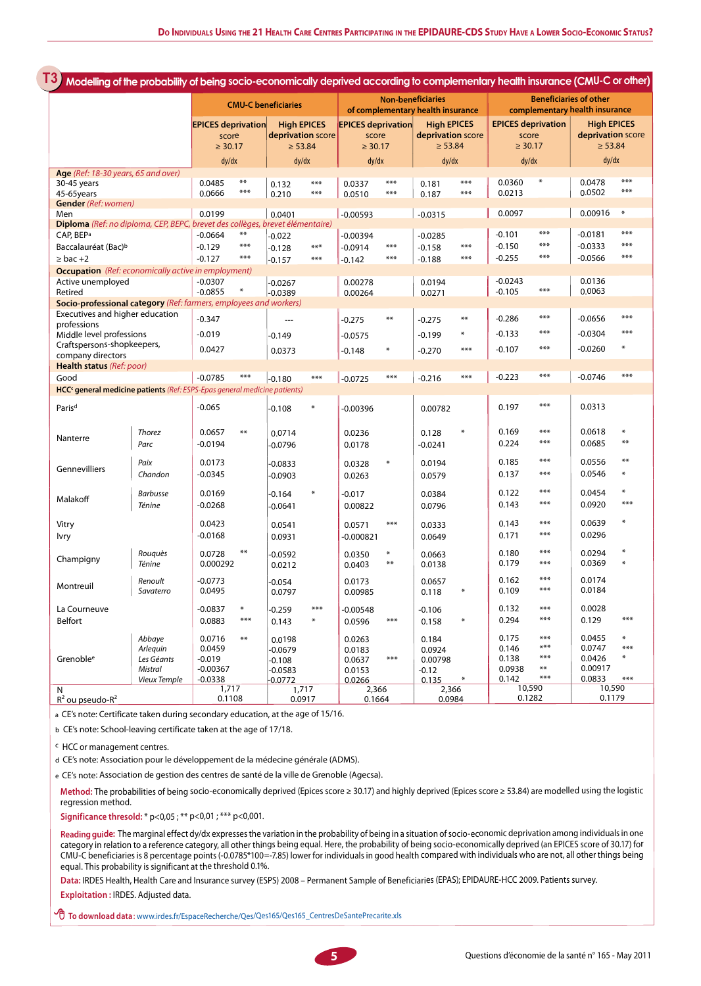|                                                                                       |                           | <b>CMU-C beneficiaries</b>                         |                                    |                                                         | <b>Non-beneficiaries</b><br>of complementary health insurance |                                                    |                 | <b>Beneficiaries of other</b><br>complementary health insurance |            |                                                    |                              |                                                         |                  |
|---------------------------------------------------------------------------------------|---------------------------|----------------------------------------------------|------------------------------------|---------------------------------------------------------|---------------------------------------------------------------|----------------------------------------------------|-----------------|-----------------------------------------------------------------|------------|----------------------------------------------------|------------------------------|---------------------------------------------------------|------------------|
|                                                                                       |                           | <b>EPICES deprivation</b><br>score<br>$\geq 30.17$ |                                    | <b>High EPICES</b><br>deprivation score<br>$\geq 53.84$ |                                                               | <b>EPICES deprivation</b><br>score<br>$\geq 30.17$ |                 | <b>High EPICES</b><br>deprivation score<br>$\geq 53.84$         |            | <b>EPICES deprivation</b><br>score<br>$\geq 30.17$ |                              | <b>High EPICES</b><br>deprivation score<br>$\geq 53.84$ |                  |
|                                                                                       |                           | dy/dx                                              |                                    | dy/dx                                                   |                                                               | dy/dx                                              |                 | dy/dx                                                           |            | dy/dx                                              |                              | dy/dx                                                   |                  |
| Age (Ref: 18-30 years, 65 and over)<br>30-45 years<br>45-65years                      |                           | 0.0485<br>0.0666                                   | $***$<br>$***$                     | 0.132<br>0.210                                          | ***<br>$***$                                                  | 0.0337<br>0.0510                                   | $***$<br>$***$  | 0.181<br>0.187                                                  | ***<br>*** | 0.0360<br>0.0213                                   | $\ast$                       | 0.0478<br>0.0502                                        | ***<br>***       |
| <b>Gender</b> (Ref: women)                                                            |                           |                                                    |                                    |                                                         |                                                               |                                                    |                 |                                                                 |            |                                                    |                              |                                                         | $\ast$           |
| Men<br>Diploma (Ref: no diploma, CEP, BEPC, brevet des collèges, brevet élémentaire)  |                           | 0.0199                                             |                                    | 0.0401                                                  |                                                               | $-0.00593$                                         |                 | $-0.0315$                                                       |            | 0.0097                                             |                              | 0.00916                                                 |                  |
| CAP, BEP <sup>a</sup>                                                                 |                           | $-0.0664$                                          | $***$                              | $-0.022$                                                |                                                               | $-0.00394$                                         |                 | $-0.0285$                                                       |            | $-0.101$                                           | $***$                        | $-0.0181$                                               | ***              |
| Baccalauréat (Bac) <sup>b</sup>                                                       |                           | $-0.129$                                           | ***                                | $-0.128$                                                | $***$                                                         | $-0.0914$                                          | $***$           | $-0.158$                                                        | ***        | $-0.150$                                           | ***                          | $-0.0333$                                               | ***              |
| $\geq$ bac +2                                                                         |                           | $-0.127$                                           | $***$                              | $-0.157$                                                | $***$                                                         | $-0.142$                                           | ***             | $-0.188$                                                        | ***        | $-0.255$                                           | ***                          | $-0.0566$                                               | $***$            |
| <b>Occupation</b> (Ref: economically active in employment)                            |                           |                                                    |                                    |                                                         |                                                               |                                                    |                 |                                                                 |            |                                                    |                              |                                                         |                  |
| Active unemployed<br>Retired                                                          |                           | $-0.0307$<br>$-0.0855$                             |                                    | $-0.0267$<br>$-0.0389$                                  |                                                               | 0.00278<br>0.00264                                 |                 | 0.0194<br>0.0271                                                |            | $-0.0243$<br>$-0.105$                              | $***$                        | 0.0136<br>0.0063                                        |                  |
| Socio-professional category (Ref: farmers, employees and workers)                     |                           |                                                    |                                    |                                                         |                                                               |                                                    |                 |                                                                 |            |                                                    |                              |                                                         |                  |
| Executives and higher education<br>professions                                        |                           | $-0.347$                                           |                                    | ---                                                     |                                                               | $-0.275$                                           | $***$           | $-0.275$                                                        | $***$      | $-0.286$                                           | ***                          | $-0.0656$                                               | ***              |
| Middle level professions                                                              |                           | $-0.019$                                           |                                    | $-0.149$                                                |                                                               | $-0.0575$                                          |                 | $-0.199$                                                        | ₩          | $-0.133$                                           | ***                          | $-0.0304$                                               | ***              |
| Craftspersons-shopkeepers,<br>company directors                                       |                           | 0.0427                                             |                                    | 0.0373                                                  |                                                               | $-0.148$                                           | $\ast$          | $-0.270$                                                        | $***$      | $-0.107$                                           | $***$                        | $-0.0260$                                               | ∗                |
| Health status (Ref: poor)                                                             |                           |                                                    |                                    |                                                         |                                                               |                                                    |                 |                                                                 |            |                                                    |                              |                                                         |                  |
| Good                                                                                  |                           | $-0.0785$                                          | ***                                | $-0.180$                                                | $***$                                                         | $-0.0725$                                          | $***$           | $-0.216$                                                        | $***$      | $-0.223$                                           | $***$                        | $-0.0746$                                               | ***              |
| HCC <sup>c</sup> general medicine patients (Ref: ESPS-Epas general medicine patients) |                           |                                                    |                                    |                                                         |                                                               |                                                    |                 |                                                                 |            |                                                    |                              |                                                         |                  |
| Paris <sup>d</sup>                                                                    |                           | $-0.065$                                           |                                    | $-0.108$                                                | $\ast$                                                        | $-0.00396$                                         |                 | 0.00782                                                         |            | 0.197                                              | ***                          | 0.0313                                                  |                  |
| Nanterre                                                                              | Thorez<br>Parc            | 0.0657<br>$-0.0194$                                | $***$                              | 0.0714<br>-0.0796                                       |                                                               | 0.0236<br>0.0178                                   |                 | 0.128<br>$-0.0241$                                              | ∗          | 0.169<br>0.224                                     | ***<br>***                   | 0.0618<br>0.0685                                        | $\ast$<br>$***$  |
| Gennevilliers                                                                         | Paix<br>Chandon           | 0.0173                                             |                                    | $-0.0833$                                               |                                                               | 0.0328                                             | ₩               | 0.0194                                                          |            | 0.185<br>0.137                                     | ***<br>***                   | 0.0556<br>0.0546                                        | $***$<br>$\ast$  |
|                                                                                       |                           | $-0.0345$                                          |                                    | $-0.0903$                                               |                                                               | 0.0263                                             |                 | 0.0579                                                          |            |                                                    |                              |                                                         |                  |
| Malakoff                                                                              | <b>Barbusse</b><br>Ténine | 0.0169<br>$-0.0268$                                |                                    | $-0.164$<br>$-0.0641$                                   | ₩                                                             | $-0.017$<br>0.00822                                |                 | 0.0384<br>0.0796                                                |            | 0.122<br>0.143                                     | ***<br>***                   | 0.0454<br>0.0920                                        | $\ast$<br>$***$  |
|                                                                                       |                           |                                                    |                                    |                                                         |                                                               |                                                    |                 |                                                                 |            |                                                    |                              |                                                         | ₩                |
| Vitry<br>lvry                                                                         |                           | 0.0423<br>$-0.0168$                                |                                    | 0.0541<br>0.0931                                        |                                                               | 0.0571<br>$-0.000821$                              | $***$           | 0.0333<br>0.0649                                                |            | 0.143<br>0.171                                     | ***<br>***                   | 0.0639<br>0.0296                                        |                  |
| Champigny                                                                             | Rouguès<br>Ténine         | 0.0728<br>0.000292                                 | $***$                              | $-0.0592$<br>0.0212                                     |                                                               | 0.0350<br>0.0403                                   | $\ast$<br>$***$ | 0.0663<br>0.0138                                                |            | 0.180<br>0.179                                     | ***<br>$***$                 | 0.0294<br>0.0369                                        | $\ast$<br>$\ast$ |
| Montreuil                                                                             | Renoult<br>Savaterro      | $-0.0773$<br>0.0495                                |                                    | $-0.054$<br>0.0797                                      |                                                               | 0.0173<br>0.00985                                  |                 | 0.0657<br>0.118                                                 | ₩          | 0.162<br>0.109                                     | ***<br>$***$                 | 0.0174<br>0.0184                                        |                  |
| La Courneuve                                                                          |                           | $-0.0837$                                          | $\ast$                             | $-0.259$                                                | $***$                                                         | $-0.00548$                                         |                 | $-0.106$                                                        |            | 0.132                                              | ***                          | 0.0028                                                  |                  |
| Belfort                                                                               |                           | 0.0883                                             | $***$                              | 0.143                                                   | ⋇                                                             | 0.0596                                             | ***             | 0.158                                                           | $\ast$     | 0.294                                              | $***$                        | 0.129                                                   | $***$            |
|                                                                                       | Abbaye<br>Arlequin        | 0.0716<br>0.0459                                   | $***$                              | 0.0198<br>-0.0679                                       |                                                               | 0.0263<br>0.0183                                   |                 | 0.184<br>0.0924                                                 |            | 0.175<br>0.146                                     | ***<br>$***$                 | 0.0455<br>0.0747                                        | $\ast$<br>***    |
| Grenoble <sup>e</sup>                                                                 | Les Géants<br>Mistral     | -0.019<br>$-0.00367$                               |                                    | $-0.108$<br>$-0.0583$                                   |                                                               | 0.0637<br>0.0153                                   | $***$           | 0.00798<br>-0.12                                                |            | 0.138<br>0.0938                                    | $***$<br>$\ast\ast$<br>$***$ | 0.0426<br>0.00917                                       | $\ast$           |
|                                                                                       | Vieux Temple              | $-0.0338$                                          |                                    | $-0.0772$                                               |                                                               | 0.0266                                             |                 | 0.135                                                           | $\ast$     | 0.142                                              | 10,590                       | 0.0833                                                  | $***$            |
| N                                                                                     | $R^2$ ou pseudo- $R^2$    |                                                    | 1,717<br>1,717<br>0.1108<br>0.0917 |                                                         | 2,366<br>2,366<br>0.0984<br>0.1664                            |                                                    |                 |                                                                 | 0.1282     |                                                    | 10,590<br>0.1179             |                                                         |                  |

<sup>a</sup>CE's note: Certificate taken during secondary education, at the age of 15/16.

<sup>b</sup> CE's note: School-leaving certificate taken at the age of 17/18.

<sup>c</sup> HCC or management centres.

<sup>d</sup> CE's note: Association pour le développement de la médecine générale (ADMS).

e CE's note: Association de gestion des centres de santé de la ville de Grenoble (Agecsa).

**Method:** The probabilities of being socio-economically deprived (Epices score <sup>≥</sup> 30.17) and highly deprived (Epices score <sup>≥</sup> 53.84) are modelled using the logistic regression method.

**Significance thresold:** \* p<0,05 ; \*\* p<0,01 ; \*\*\* p<0,001.

**Reading guide:** The marginal effect dy/dx expressesthe variation in the probability of being in <sup>a</sup> situation ofsocio-economic deprivation among individualsin one category in relation to <sup>a</sup> reference category, all other things being equal. Here, the probability of being socio-economically deprived (an EPICES score of 30.17) for CMU-C beneficiariesis <sup>8</sup> percentage points(-0.0785\*100=-7.85) lower for individualsin good health compared with individuals who are not, all other things being equal. This probability is significant at the threshold 0.1%.

**Data:** IRDES Health, Health Care and Insurance survey (ESPS) <sup>2008</sup> – Permanent Sample of Beneficiaries (EPAS); EPIDAURE-HCC 2009. Patients survey.

**Exploitation :** IRDES. Adjusted data.

 **To download data**: www.irdes.fr/EspaceRecherche/Qes/Qes165/Qes165\_CentresDeSantePrecarite.xls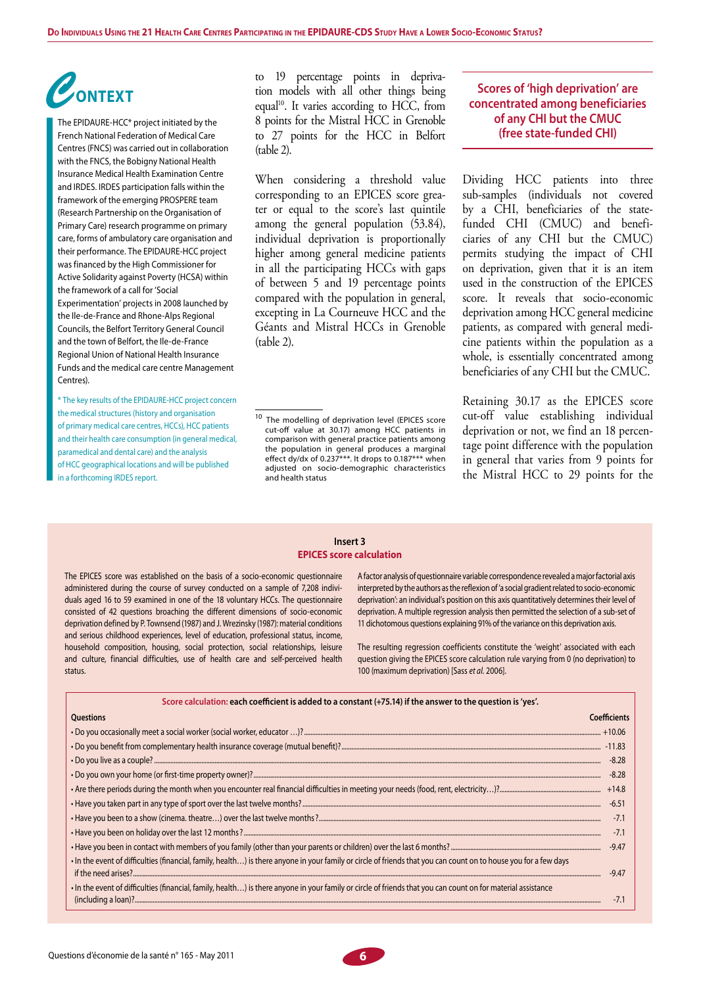# *C***ontext**

The EPIDAURE-HCC\* project initiated by the French National Federation of Medical Care Centres (FNCS) was carried out in collaboration with the FNCS, the Bobigny National Health Insurance Medical Health Examination Centre and IRDES. IRDES participation falls within the framework of the emerging PROSPERE team (Research Partnership on the Organisation of Primary Care) research programme on primary care, forms of ambulatory care organisation and their performance. The EPIDAURE-HCC project was financed by the High Commissioner for Active Solidarity against Poverty (HCSA) within the framework of a call for 'Social Experimentation' projects in 2008 launched by the Ile-de-France and Rhone-Alps Regional Councils, the Belfort Territory General Council and the town of Belfort, the Ile-de-France Regional Union of National Health Insurance Funds and the medical care centre Management Centres).

\* The key results of the EPIDAURE-HCC project concern the medical structures (history and organisation of primary medical care centres, HCCs), HCC patients and their health care consumption (in general medical, paramedical and dental care) and the analysis of HCC geographical locations and will be published in a forthcoming IRDES report.

to 19 percentage points in deprivation models with all other things being equal<sup>10</sup>. It varies according to HCC, from 8 points for the Mistral HCC in Grenoble to 27 points for the HCC in Belfort (table 2).

When considering a threshold value corresponding to an EPICES score greater or equal to the score's last quintile among the general population (53.84), individual deprivation is proportionally higher among general medicine patients in all the participating HCCs with gaps of between 5 and 19 percentage points compared with the population in general, excepting in La Courneuve HCC and the Géants and Mistral HCCs in Grenoble (table 2).

## **Scores of 'high deprivation' are concentrated among beneficiaries of any CHI but the CMUC (free state-funded CHI)**

Dividing HCC patients into three sub-samples (individuals not covered by a CHI, beneficiaries of the statefunded CHI (CMUC) and beneficiaries of any CHI but the CMUC) permits studying the impact of CHI on deprivation, given that it is an item used in the construction of the EPICES score. It reveals that socio-economic deprivation among HCC general medicine patients, as compared with general medicine patients within the population as a whole, is essentially concentrated among beneficiaries of any CHI but the CMUC.

Retaining 30.17 as the EPICES score cut-off value establishing individual deprivation or not, we find an 18 percentage point difference with the population in general that varies from 9 points for the Mistral HCC to 29 points for the

#### **Insert 3 EPICES score calculation**

The EPICES score was established on the basis of a socio-economic questionnaire administered during the course of survey conducted on a sample of 7,208 individuals aged 16 to 59 examined in one of the 18 voluntary HCCs. The questionnaire consisted of 42 questions broaching the different dimensions of socio-economic deprivation defined by P. Townsend (1987) and J. Wrezinsky (1987): material conditions and serious childhood experiences, level of education, professional status, income, household composition, housing, social protection, social relationships, leisure and culture, financial difficulties, use of health care and self-perceived health status.

A factor analysis of questionnaire variable correspondence revealed a major factorial axis interpreted by the authors as the reflexion of 'a social gradient related to socio-economic deprivation': an individual's position on this axis quantitatively determines their level of deprivation. A multiple regression analysis then permitted the selection of a sub-set of 11 dichotomous questions explaining 91% of the variance on this deprivation axis.

The resulting regression coefficients constitute the 'weight' associated with each question giving the EPICES score calculation rule varying from 0 (no deprivation) to 100 (maximum deprivation) [Sass *et al.* 2006].

| Score calculation: each coefficient is added to a constant (+75.14) if the answer to the question is 'yes'.                                                      |  |  |  |  |  |  |
|------------------------------------------------------------------------------------------------------------------------------------------------------------------|--|--|--|--|--|--|
| Questions<br>Coefficients                                                                                                                                        |  |  |  |  |  |  |
|                                                                                                                                                                  |  |  |  |  |  |  |
|                                                                                                                                                                  |  |  |  |  |  |  |
| $-8.28$                                                                                                                                                          |  |  |  |  |  |  |
| $-8.28$                                                                                                                                                          |  |  |  |  |  |  |
|                                                                                                                                                                  |  |  |  |  |  |  |
| $-6.51$                                                                                                                                                          |  |  |  |  |  |  |
|                                                                                                                                                                  |  |  |  |  |  |  |
| $-7.1$                                                                                                                                                           |  |  |  |  |  |  |
| $-9.47$                                                                                                                                                          |  |  |  |  |  |  |
| . In the event of difficulties (financial, family, health) is there anyone in your family or circle of friends that you can count on to house you for a few days |  |  |  |  |  |  |
| $-9.47$                                                                                                                                                          |  |  |  |  |  |  |
| In the event of difficulties (financial, family, health) is there anyone in your family or circle of friends that you can count on for material assistance       |  |  |  |  |  |  |
|                                                                                                                                                                  |  |  |  |  |  |  |



<sup>&</sup>lt;sup>10</sup> The modelling of deprivation level (EPICES score cut-off value at 30.17) among HCC patients in comparison with general practice patients among the population in general produces a marginal effect dy/dx of 0.237\*\*\*. It drops to 0.187\*\*\* when adjusted on socio-demographic characteristics and health status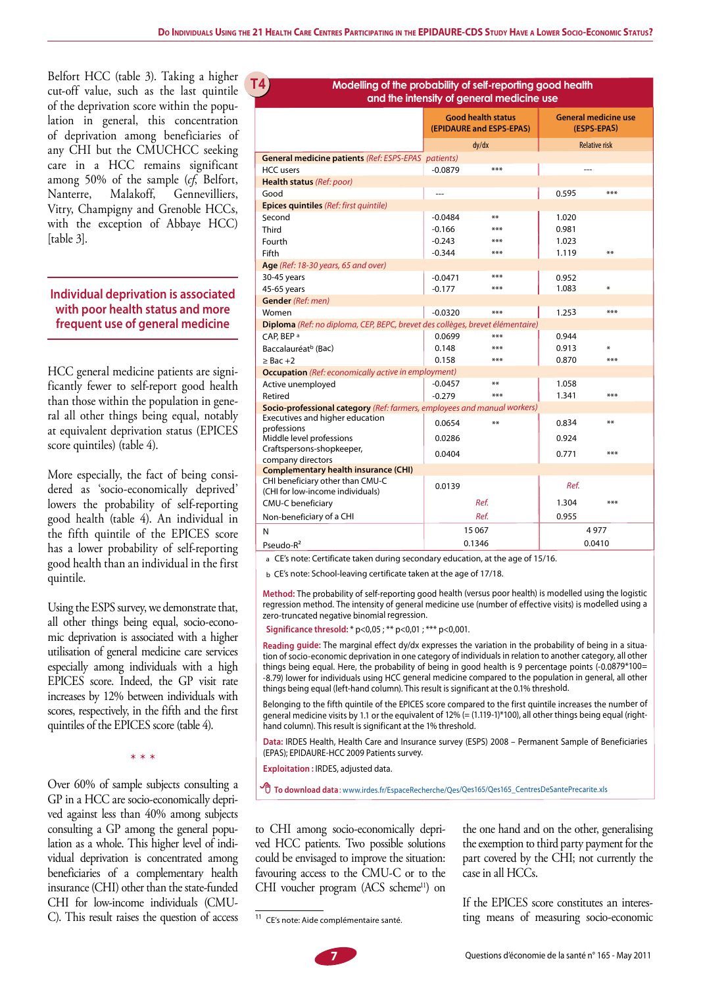Belfort HCC (table 3). Taking a higher cut-off value, such as the last quintile of the deprivation score within the population in general, this concentration of deprivation among beneficiaries of any CHI but the CMUCHCC seeking care in a HCC remains significant among 50% of the sample (*cf*, Belfort, Nanterre, Malakoff, Gennevilliers, Vitry, Champigny and Grenoble HCCs, with the exception of Abbaye HCC) [table 3].

**G1T4**

## **Individual deprivation is associated with poor health status and more frequent use of general medicine**

HCC general medicine patients are significantly fewer to self-report good health than those within the population in general all other things being equal, notably at equivalent deprivation status (EPICES score quintiles) (table 4).

More especially, the fact of being considered as 'socio-economically deprived' lowers the probability of self-reporting good health (table 4). An individual in the fifth quintile of the EPICES score has a lower probability of self-reporting good health than an individual in the first quintile.

Using the ESPS survey, we demonstrate that, all other things being equal, socio-economic deprivation is associated with a higher utilisation of general medicine care services especially among individuals with a high EPICES score. Indeed, the GP visit rate increases by 12% between individuals with scores, respectively, in the fifth and the first quintiles of the EPICES score (table 4).

\* \* \*

Over 60% of sample subjects consulting a GP in a HCC are socio-economically deprived against less than 40% among subjects consulting a GP among the general population as a whole. This higher level of individual deprivation is concentrated among beneficiaries of a complementary health insurance (CHI) other than the state-funded CHI for low-income individuals (CMU-C). This result raises the question of access

#### **Modelling of the probability of self-reporting good health and the intensity of general medicine use**

|                                                                               |           | <b>Good health status</b><br>(EPIDAURE and ESPS-EPAS) | <b>General medicine use</b><br>(ESPS-EPAS) |     |  |
|-------------------------------------------------------------------------------|-----------|-------------------------------------------------------|--------------------------------------------|-----|--|
|                                                                               |           | dy/dx                                                 | <b>Relative risk</b>                       |     |  |
| <b>General medicine patients (Ref: ESPS-EPAS patients)</b>                    |           |                                                       |                                            |     |  |
| <b>HCC</b> users                                                              | $-0.0879$ | ***                                                   |                                            |     |  |
| Health status (Ref: poor)                                                     |           |                                                       |                                            |     |  |
| Good                                                                          |           |                                                       | 0.595                                      | *** |  |
| <b>Epices quintiles</b> (Ref: first quintile)                                 |           |                                                       |                                            |     |  |
| Second                                                                        | $-0.0484$ | **                                                    | 1.020                                      |     |  |
| Third                                                                         | $-0.166$  | ***                                                   | 0.981                                      |     |  |
| Fourth                                                                        | $-0.243$  | ***                                                   | 1.023                                      |     |  |
| Fifth                                                                         | $-0.344$  | ***                                                   | 1.119                                      | **  |  |
| <b>Age</b> (Ref: 18-30 years, 65 and over)                                    |           |                                                       |                                            |     |  |
| 30-45 years                                                                   | $-0.0471$ | ***                                                   | 0.952                                      |     |  |
| 45-65 years                                                                   | $-0.177$  | ***                                                   | 1.083                                      | ₩   |  |
| <b>Gender</b> (Ref: men)                                                      |           |                                                       |                                            |     |  |
| Women                                                                         | $-0.0320$ | ***                                                   | 1.253                                      | *** |  |
| Diploma (Ref: no diploma, CEP, BEPC, brevet des collèges, brevet élémentaire) |           |                                                       |                                            |     |  |
| CAP, BEP <sup>a</sup>                                                         | 0.0699    | ***                                                   | 0.944                                      |     |  |
| Baccalauréat <sup>b</sup> (Bac)                                               | 0.148     | ***                                                   | 0.913                                      | ⋇   |  |
| $\geq$ Bac +2                                                                 | 0.158     | ***                                                   | 0.870                                      | *** |  |
| <b>Occupation</b> (Ref: economically active in employment)                    |           |                                                       |                                            |     |  |
| Active unemployed                                                             | $-0.0457$ | **                                                    | 1.058                                      |     |  |
| Retired                                                                       | $-0.279$  | ***                                                   | 1.341                                      | *** |  |
| Socio-professional category (Ref: farmers, employees and manual workers)      |           |                                                       |                                            |     |  |
| Executives and higher education<br>professions                                | 0.0654    | **                                                    | 0.834                                      | **  |  |
| Middle level professions                                                      | 0.0286    |                                                       | 0.924                                      |     |  |
| Craftspersons-shopkeeper,                                                     |           |                                                       |                                            |     |  |
| company directors                                                             | 0.0404    |                                                       | 0.771                                      | *** |  |
| <b>Complementary health insurance (CHI)</b>                                   |           |                                                       |                                            |     |  |
| CHI beneficiary other than CMU-C<br>(CHI for low-income individuals)          | 0.0139    |                                                       | Ref.                                       |     |  |
| CMU-C beneficiary                                                             |           | Ref.                                                  | 1.304                                      | *** |  |
| Non-beneficiary of a CHI                                                      |           | Ref.                                                  | 0.955                                      |     |  |
| N                                                                             |           | 15 067                                                | 4977                                       |     |  |
| Pseudo-R <sup>2</sup>                                                         |           | 0.1346                                                | 0.0410                                     |     |  |

a CE's note: Certificate taken during secondary education, at the age of 15/16.

<sup>b</sup> CE's note: School-leaving certificate taken at the age of 17/18.

**Method:** The probability of self-reporting good health (versus poor health) is modelled using the logistic regression method. The intensity of general medicine use (number of effective visits) is modelled using <sup>a</sup> zero-truncated negative binomial regression.

**Significance thresold:** \* p<0,05 ; \*\* p<0,01 ; \*\*\* p<0,001.

**Reading guide:** The marginal effect dy/dx expresses the variation in the probability of being in <sup>a</sup> situation of socio-economic deprivation in one category of individuals in relation to another category, all other things being equal. Here, the probability of being in good health is 9 percentage points (-0.0879\*100= -8.79) lower for individuals using HCC general medicine compared to the population in general, all other things being equal (left-hand column). This result is significant at the 0.1% threshold.

Belonging to the fifth quintile of the EPICES score compared to the first quintile increases the number of general medicine visits by 1.1 or the equivalent of 12% (= (1.119-1)\*100), all other things being equal (righthand column). This result is significant at the 1% threshold.

**Data:** IRDES Health, Health Care and Insurance survey (ESPS) <sup>2008</sup> – Permanent Sample of Beneficiaries (EPAS); EPIDAURE-HCC 2009 Patients survey.

**Exploitation :** IRDES, adjusted data.

 **To download data**: www.irdes.fr/EspaceRecherche/Qes/Qes165/Qes165\_CentresDeSantePrecarite.xls

to CHI among socio-economically deprived HCC patients. Two possible solutions could be envisaged to improve the situation: favouring access to the CMU-C or to the CHI voucher program (ACS scheme<sup>11</sup>) on

the one hand and on the other, generalising the exemption to third party payment for the part covered by the CHI; not currently the case in all HCCs.

If the EPICES score constitutes an interesting means of measuring socio-economic

<sup>11</sup> CE's note: Aide complémentaire santé.